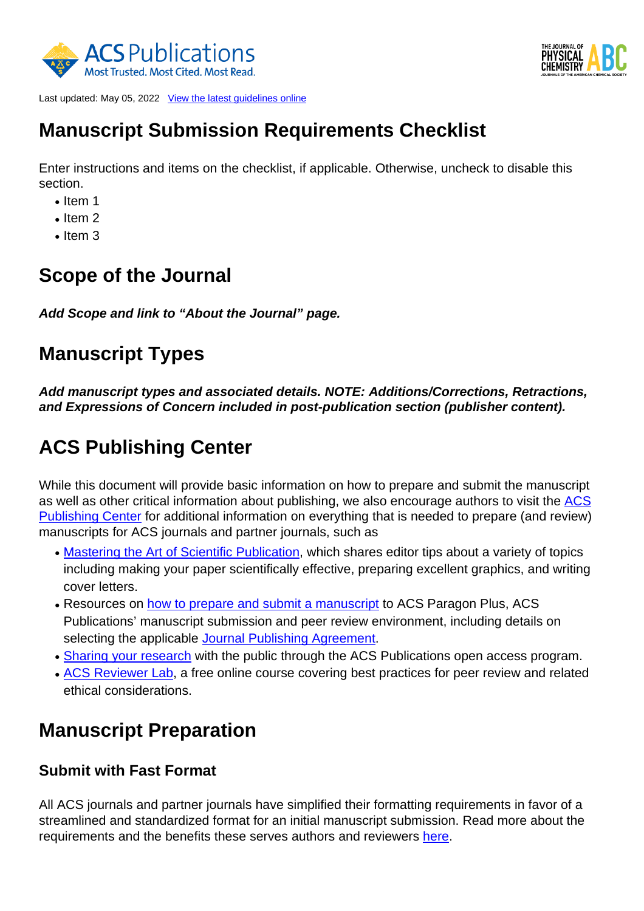



Last updated: May 05, 2022 [View the latest guidelines online](https://publish.acs.org/publish/author_guidelines?coden=jpchax)

# **Manuscript Submission Requirements Checklist**

Enter instructions and items on the checklist, if applicable. Otherwise, uncheck to disable this section.

- $\bullet$  Item 1
- $\cdot$  Item 2
- $\bullet$  Item 3

# **Scope of the Journal**

**Add Scope and link to "About the Journal" page.**

# **Manuscript Types**

**Add manuscript types and associated details. NOTE: Additions/Corrections, Retractions, and Expressions of Concern included in post-publication section (publisher content).**

# **ACS Publishing Center**

While this document will provide basic information on how to prepare and submit the manuscript as well as other critical information about publishing, we also encourage authors to visit the [ACS](http://publish.acs.org/publish/) [Publishing Center](http://publish.acs.org/publish/) for additional information on everything that is needed to prepare (and review) manuscripts for ACS journals and partner journals, such as

- [Mastering the Art of Scientific Publication,](https://pubs.acs.org/page/vi/art_of_scientific_publication.html) which shares editor tips about a variety of topics including making your paper scientifically effective, preparing excellent graphics, and writing cover letters.
- Resources on <u>[how to prepare and submit a manuscript](https://publish.acs.org/publish/manu_prep_sub)</u> to ACS Paragon Plus, ACS Publications' manuscript submission and peer review environment, including details on selecting the applicable [Journal Publishing Agreement.](https://pubs.acs.org/page/copyright/journals/jpa_index.html)
- [Sharing your research](https://publish.acs.org/publish/research_share_and_oa) with the public through the ACS Publications open access program.
- [ACS Reviewer Lab](https://institute.acs.org/courses/acs-reviewer-lab.html), a free online course covering best practices for peer review and related ethical considerations.

# **Manuscript Preparation**

#### **Submit with Fast Format**

All ACS journals and partner journals have simplified their formatting requirements in favor of a streamlined and standardized format for an initial manuscript submission. Read more about the requirements and the benefits these serves authors and reviewers [here.](https://pubs.acs.org/page/publish/fast_format)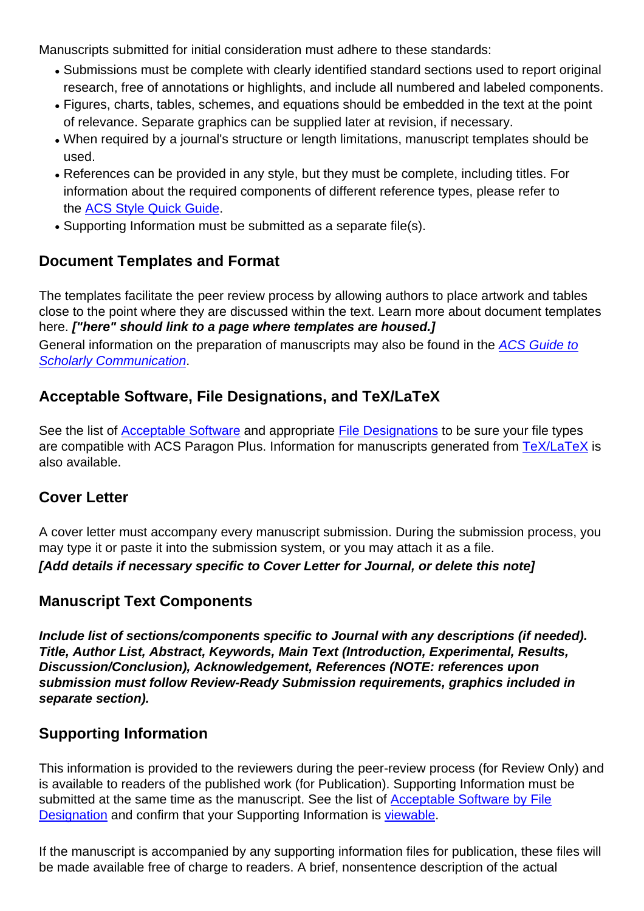Manuscripts submitted for initial consideration must adhere to these standards:

- Submissions must be complete with clearly identified standard sections used to report original research, free of annotations or highlights, and include all numbered and labeled components.
- Figures, charts, tables, schemes, and equations should be embedded in the text at the point of relevance. Separate graphics can be supplied later at revision, if necessary.
- When required by a journal's structure or length limitations, manuscript templates should be used.
- References can be provided in any style, but they must be complete, including titles. For information about the required components of different reference types, please refer to the [ACS Style Quick Guide.](https://pubs.acs.org/doi/full/10.1021/acsguide.40303)
- Supporting Information must be submitted as a separate file(s).

## **Document Templates and Format**

The templates facilitate the peer review process by allowing authors to place artwork and tables close to the point where they are discussed within the text. Learn more about document templates here. **["here" should link to a page where templates are housed.]** General information on the preparation of manuscripts may also be found in the [ACS Guide to](https://pubs.acs.org/series/styleguide)

[Scholarly Communication](https://pubs.acs.org/series/styleguide).

## **Acceptable Software, File Designations, and TeX/LaTeX**

See the list of **[Acceptable Software](http://pubs.acs.org/page/4authors/submission/software.html)** and appropriate [File Designations](http://pubs.acs.org/page/4authors/submission/choosing_filetypes.html) to be sure your file types are compatible with ACS Paragon Plus. Information for manuscripts generated from [TeX/LaTeX](https://pubs.acs.org/page/4authors/submission/tex.html) is also available.

## **Cover Letter**

A cover letter must accompany every manuscript submission. During the submission process, you may type it or paste it into the submission system, or you may attach it as a file. **[Add details if necessary specific to Cover Letter for Journal, or delete this note]**

## **Manuscript Text Components**

**Include list of sections/components specific to Journal with any descriptions (if needed). Title, Author List, Abstract, Keywords, Main Text (Introduction, Experimental, Results, Discussion/Conclusion), Acknowledgement, References (NOTE: references upon submission must follow Review-Ready Submission requirements, graphics included in separate section).**

## **Supporting Information**

This information is provided to the reviewers during the peer-review process (for Review Only) and is available to readers of the published work (for Publication). Supporting Information must be submitted at the same time as the manuscript. See the list of [Acceptable Software by File](https://pubs.acs.org/page/4authors/submission/software.html) [Designation](https://pubs.acs.org/page/4authors/submission/software.html) and confirm that your Supporting Information is [viewable](http://pubs.acs.org/page/4authors/tools/viewers.html).

If the manuscript is accompanied by any supporting information files for publication, these files will be made available free of charge to readers. A brief, nonsentence description of the actual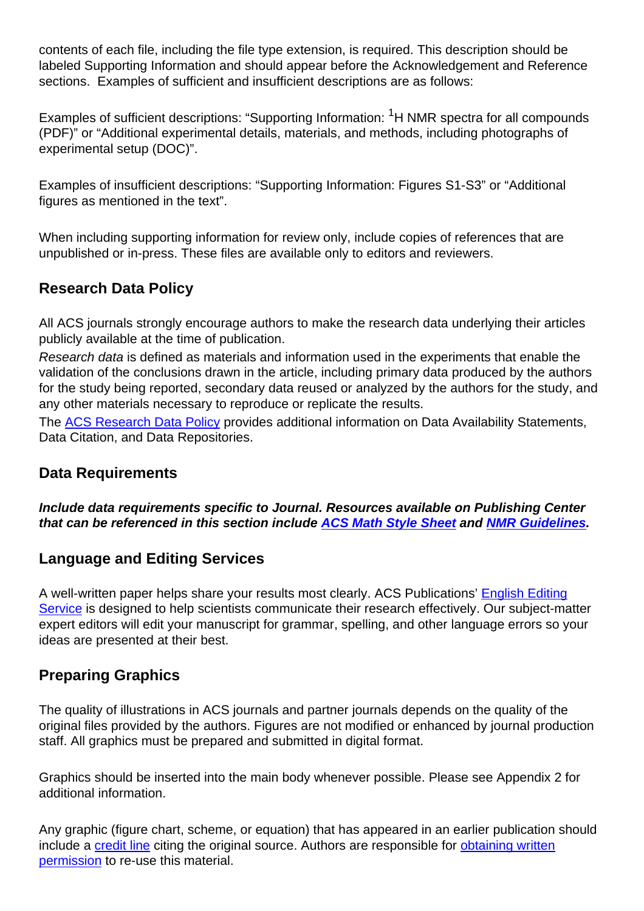contents of each file, including the file type extension, is required. This description should be labeled Supporting Information and should appear before the Acknowledgement and Reference sections. Examples of sufficient and insufficient descriptions are as follows:

Examples of sufficient descriptions: "Supporting Information: <sup>1</sup>H NMR spectra for all compounds (PDF)" or "Additional experimental details, materials, and methods, including photographs of experimental setup (DOC)".

Examples of insufficient descriptions: "Supporting Information: Figures S1-S3" or "Additional figures as mentioned in the text".

When including supporting information for review only, include copies of references that are unpublished or in-press. These files are available only to editors and reviewers.

## **Research Data Policy**

All ACS journals strongly encourage authors to make the research data underlying their articles publicly available at the time of publication.

Research data is defined as materials and information used in the experiments that enable the validation of the conclusions drawn in the article, including primary data produced by the authors for the study being reported, secondary data reused or analyzed by the authors for the study, and any other materials necessary to reproduce or replicate the results.

The [ACS Research Data Policy](https://publish.acs.org/publish/data_policy) provides additional information on Data Availability Statements, Data Citation, and Data Repositories.

#### **Data Requirements**

**Include data requirements specific to Journal. Resources available on Publishing Center that can be referenced in this section include [ACS Math Style Sheet](http://pubsapp.acs.org/paragonplus/submission/acs_math-stylesheet.pdf) and [NMR Guidelines](http://pubsapp.acs.org/paragonplus/submission/acs_nmr_guidelines.pdf).**

#### **Language and Editing Services**

A well-written paper helps share your results most clearly. ACS Publications' **[English Editing](https://authoringservices.acs.org/en/)** [Service](https://authoringservices.acs.org/en/) is designed to help scientists communicate their research effectively. Our subject-matter expert editors will edit your manuscript for grammar, spelling, and other language errors so your ideas are presented at their best.

#### **Preparing Graphics**

The quality of illustrations in ACS journals and partner journals depends on the quality of the original files provided by the authors. Figures are not modified or enhanced by journal production staff. All graphics must be prepared and submitted in digital format.

Graphics should be inserted into the main body whenever possible. Please see Appendix 2 for additional information.

Any graphic (figure chart, scheme, or equation) that has appeared in an earlier publication should include a [credit line](https://pubs.acs.org/page/copyright/permissions_otherpub.html) citing the original source. Authors are responsible for [obtaining written](https://pubs.acs.org/page/copyright/permissions_otherpub.html) [permission](https://pubs.acs.org/page/copyright/permissions_otherpub.html) to re-use this material.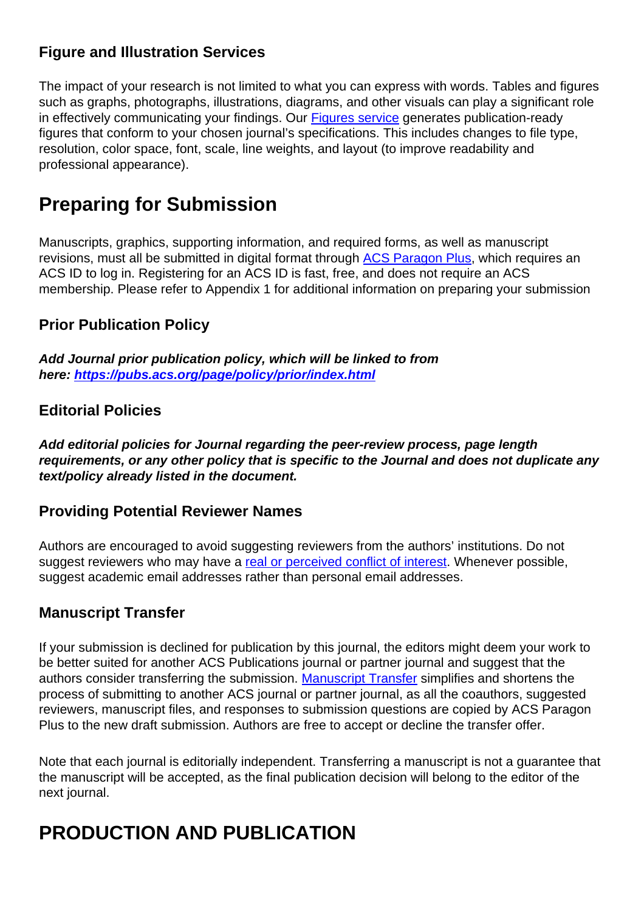## **Figure and Illustration Services**

The impact of your research is not limited to what you can express with words. Tables and figures such as graphs, photographs, illustrations, diagrams, and other visuals can play a significant role in effectively communicating your findings. Our [Figures service](https://authoringservices.acs.org/en/figures/) generates publication-ready figures that conform to your chosen journal's specifications. This includes changes to file type, resolution, color space, font, scale, line weights, and layout (to improve readability and professional appearance).

# **Preparing for Submission**

Manuscripts, graphics, supporting information, and required forms, as well as manuscript revisions, must all be submitted in digital format through [ACS Paragon Plus](paragon_plus_journal_info?coden=jpchax), which requires an ACS ID to log in. Registering for an ACS ID is fast, free, and does not require an ACS membership. Please refer to Appendix 1 for additional information on preparing your submission

## **Prior Publication Policy**

**Add Journal prior publication policy, which will be linked to from here: <https://pubs.acs.org/page/policy/prior/index.html>**

#### **Editorial Policies**

**Add editorial policies for Journal regarding the peer-review process, page length requirements, or any other policy that is specific to the Journal and does not duplicate any text/policy already listed in the document.**

#### **Providing Potential Reviewer Names**

Authors are encouraged to avoid suggesting reviewers from the authors' institutions. Do not suggest reviewers who may have a [real or perceived conflict of interest.](https://pubs.acs.org/page/policy/ethics/index.html) Whenever possible, suggest academic email addresses rather than personal email addresses.

## **Manuscript Transfer**

If your submission is declined for publication by this journal, the editors might deem your work to be better suited for another ACS Publications journal or partner journal and suggest that the authors consider transferring the submission. [Manuscript Transfer](https://pubs.acs.org/page/policy/manuscript_transfer/index.html) simplifies and shortens the process of submitting to another ACS journal or partner journal, as all the coauthors, suggested reviewers, manuscript files, and responses to submission questions are copied by ACS Paragon Plus to the new draft submission. Authors are free to accept or decline the transfer offer.

Note that each journal is editorially independent. Transferring a manuscript is not a guarantee that the manuscript will be accepted, as the final publication decision will belong to the editor of the next journal.

# **PRODUCTION AND PUBLICATION**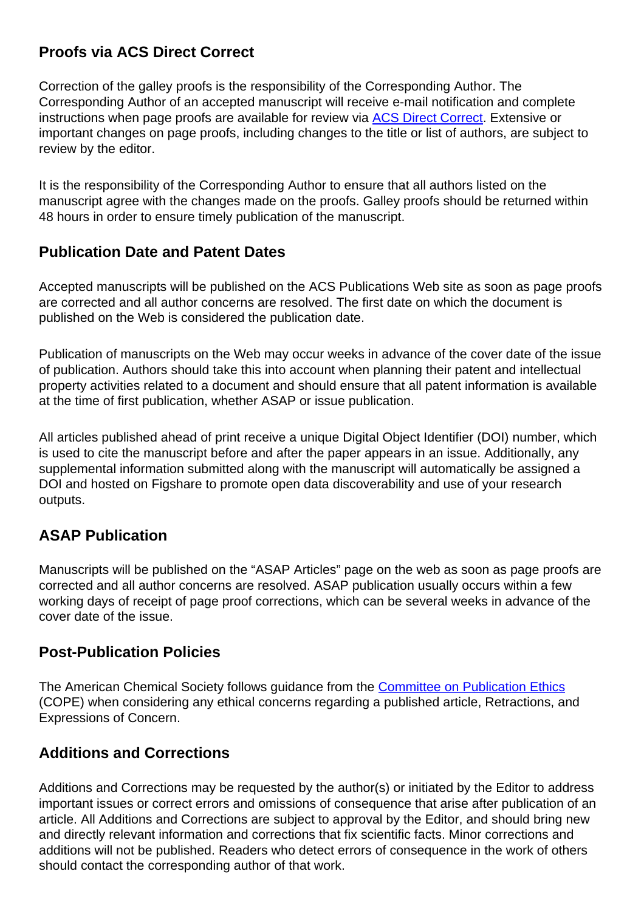## **Proofs via ACS Direct Correct**

Correction of the galley proofs is the responsibility of the Corresponding Author. The Corresponding Author of an accepted manuscript will receive e-mail notification and complete instructions when page proofs are available for review via [ACS Direct Correct](https://www.acs.org/content/acs/en/pressroom/newsreleases/2017/august/acs-publications-introducing-acs-direct-correct-to-improve-the-author-experience.html). Extensive or important changes on page proofs, including changes to the title or list of authors, are subject to review by the editor.

It is the responsibility of the Corresponding Author to ensure that all authors listed on the manuscript agree with the changes made on the proofs. Galley proofs should be returned within 48 hours in order to ensure timely publication of the manuscript.

#### **Publication Date and Patent Dates**

Accepted manuscripts will be published on the ACS Publications Web site as soon as page proofs are corrected and all author concerns are resolved. The first date on which the document is published on the Web is considered the publication date.

Publication of manuscripts on the Web may occur weeks in advance of the cover date of the issue of publication. Authors should take this into account when planning their patent and intellectual property activities related to a document and should ensure that all patent information is available at the time of first publication, whether ASAP or issue publication.

All articles published ahead of print receive a unique Digital Object Identifier (DOI) number, which is used to cite the manuscript before and after the paper appears in an issue. Additionally, any supplemental information submitted along with the manuscript will automatically be assigned a DOI and hosted on Figshare to promote open data discoverability and use of your research outputs.

#### **ASAP Publication**

Manuscripts will be published on the "ASAP Articles" page on the web as soon as page proofs are corrected and all author concerns are resolved. ASAP publication usually occurs within a few working days of receipt of page proof corrections, which can be several weeks in advance of the cover date of the issue.

#### **Post-Publication Policies**

The American Chemical Society follows guidance from the [Committee on Publication Ethics](https://publicationethics.org/) (COPE) when considering any ethical concerns regarding a published article, Retractions, and Expressions of Concern.

## **Additions and Corrections**

Additions and Corrections may be requested by the author(s) or initiated by the Editor to address important issues or correct errors and omissions of consequence that arise after publication of an article. All Additions and Corrections are subject to approval by the Editor, and should bring new and directly relevant information and corrections that fix scientific facts. Minor corrections and additions will not be published. Readers who detect errors of consequence in the work of others should contact the corresponding author of that work.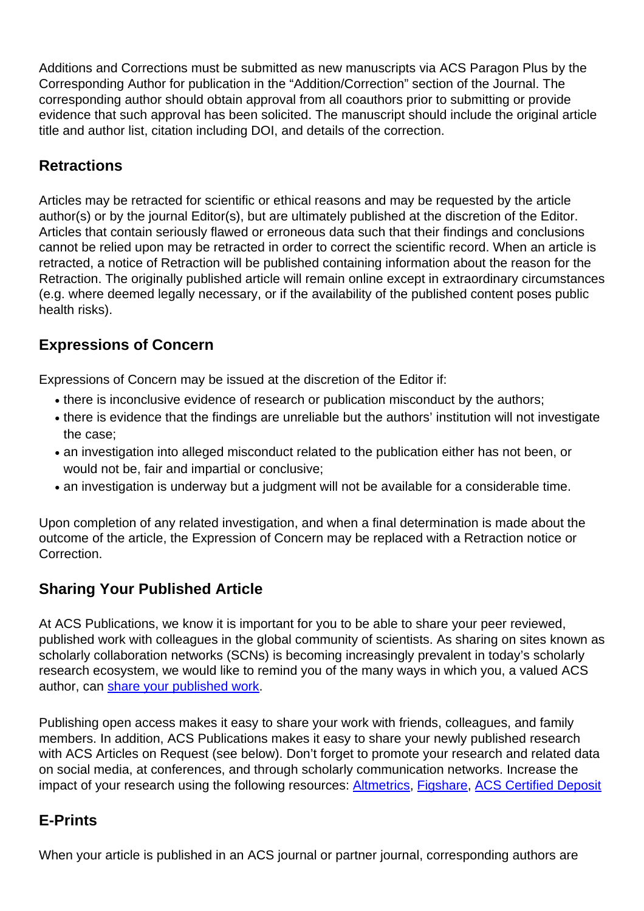Additions and Corrections must be submitted as new manuscripts via ACS Paragon Plus by the Corresponding Author for publication in the "Addition/Correction" section of the Journal. The corresponding author should obtain approval from all coauthors prior to submitting or provide evidence that such approval has been solicited. The manuscript should include the original article title and author list, citation including DOI, and details of the correction.

## **Retractions**

Articles may be retracted for scientific or ethical reasons and may be requested by the article author(s) or by the journal Editor(s), but are ultimately published at the discretion of the Editor. Articles that contain seriously flawed or erroneous data such that their findings and conclusions cannot be relied upon may be retracted in order to correct the scientific record. When an article is retracted, a notice of Retraction will be published containing information about the reason for the Retraction. The originally published article will remain online except in extraordinary circumstances (e.g. where deemed legally necessary, or if the availability of the published content poses public health risks).

## **Expressions of Concern**

Expressions of Concern may be issued at the discretion of the Editor if:

- there is inconclusive evidence of research or publication misconduct by the authors;
- there is evidence that the findings are unreliable but the authors' institution will not investigate the case;
- an investigation into alleged misconduct related to the publication either has not been, or would not be, fair and impartial or conclusive;
- an investigation is underway but a judgment will not be available for a considerable time.

Upon completion of any related investigation, and when a final determination is made about the outcome of the article, the Expression of Concern may be replaced with a Retraction notice or Correction.

## **Sharing Your Published Article**

At ACS Publications, we know it is important for you to be able to share your peer reviewed, published work with colleagues in the global community of scientists. As sharing on sites known as scholarly collaboration networks (SCNs) is becoming increasingly prevalent in today's scholarly research ecosystem, we would like to remind you of the many ways in which you, a valued ACS author, can [share your published work](https://pubs.acs.org/page/policy/sharingguidelines).

Publishing open access makes it easy to share your work with friends, colleagues, and family members. In addition, ACS Publications makes it easy to share your newly published research with ACS Articles on Request (see below). Don't forget to promote your research and related data on social media, at conferences, and through scholarly communication networks. Increase the impact of your research using the following resources: [Altmetrics,](http://axial.acs.org/2016/12/16/acs-altmetric-scores/) [Figshare](https://figshare.com/), [ACS Certified Deposit](https://pubs.acs.org/page/4authors/certified.html)

# **E-Prints**

When your article is published in an ACS journal or partner journal, corresponding authors are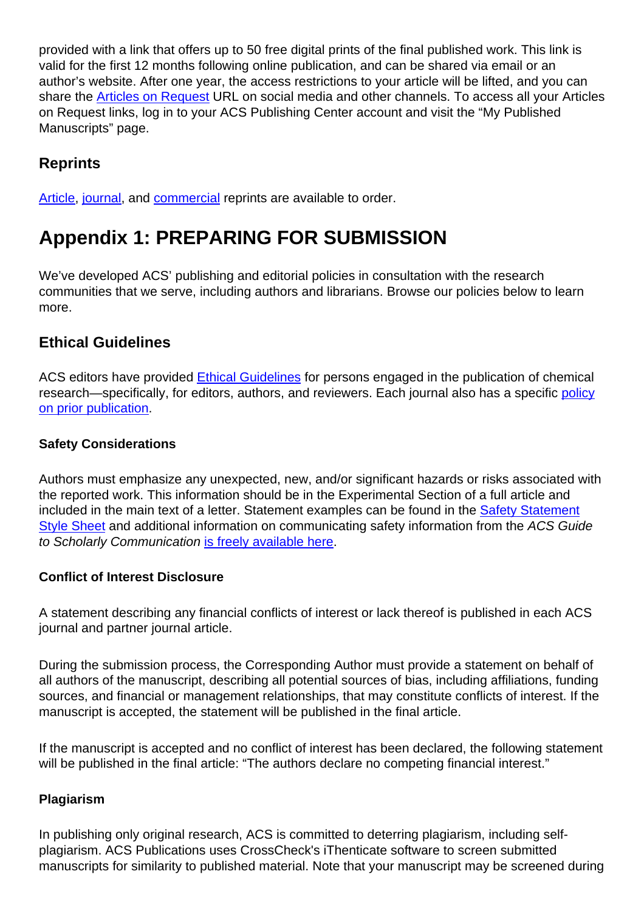provided with a link that offers up to 50 free digital prints of the final published work. This link is valid for the first 12 months following online publication, and can be shared via email or an author's website. After one year, the access restrictions to your article will be lifted, and you can share the [Articles on Request](http://pubs.acs.org/page/policy/articlesonrequest/index.html) URL on social media and other channels. To access all your Articles on Request links, log in to your ACS Publishing Center account and visit the "My Published Manuscripts" page.

## **Reprints**

[Article](https://pubstore.acs.org/reprints.html), [journal](https://pubstore.acs.org/journals.html), and [commercial](https://helpfaqs.acs.org/2011/05/04/ordering-commercial-reprints-for-acs-articles) reprints are available to order.

# **Appendix 1: PREPARING FOR SUBMISSION**

We've developed ACS' publishing and editorial policies in consultation with the research communities that we serve, including authors and librarians. Browse our policies below to learn more.

#### **Ethical Guidelines**

ACS editors have provided [Ethical Guidelines](https://pubs.acs.org/page/policy/ethics/index.html) for persons engaged in the publication of chemical research—specifically, for editors, authors, and reviewers. Each journal also has a specific [policy](https://pubs.acs.org/page/policy/prior/index.html) [on prior publication](https://pubs.acs.org/page/policy/prior/index.html).

#### **Safety Considerations**

Authors must emphasize any unexpected, new, and/or significant hazards or risks associated with the reported work. This information should be in the Experimental Section of a full article and included in the main text of a letter. Statement examples can be found in the [Safety](https://pubs.acs.org/pb-assets/documents/policy/Safety_Statement_Style_Sheet.pdf) [Statement](https://pubs.acs.org/pb-assets/documents/policy/Safety_Statement_Style_Sheet.pdf) [Style Sheet](https://pubs.acs.org/pb-assets/documents/policy/Safety_Statement_Style_Sheet.pdf) and additional information on communicating safety information from the ACS Guide to Scholarly Communication [is freely available here](https://pubsapp.acs.org/paragonplus/submission/ACS_Guide_to_Scholarly_Communication_1.3_Communicating_Safety_Information.pdf).

#### **Conflict of Interest Disclosure**

A statement describing any financial conflicts of interest or lack thereof is published in each ACS journal and partner journal article.

During the submission process, the Corresponding Author must provide a statement on behalf of all authors of the manuscript, describing all potential sources of bias, including affiliations, funding sources, and financial or management relationships, that may constitute conflicts of interest. If the manuscript is accepted, the statement will be published in the final article.

If the manuscript is accepted and no conflict of interest has been declared, the following statement will be published in the final article: "The authors declare no competing financial interest."

#### **Plagiarism**

In publishing only original research, ACS is committed to deterring plagiarism, including selfplagiarism. ACS Publications uses CrossCheck's iThenticate software to screen submitted manuscripts for similarity to published material. Note that your manuscript may be screened during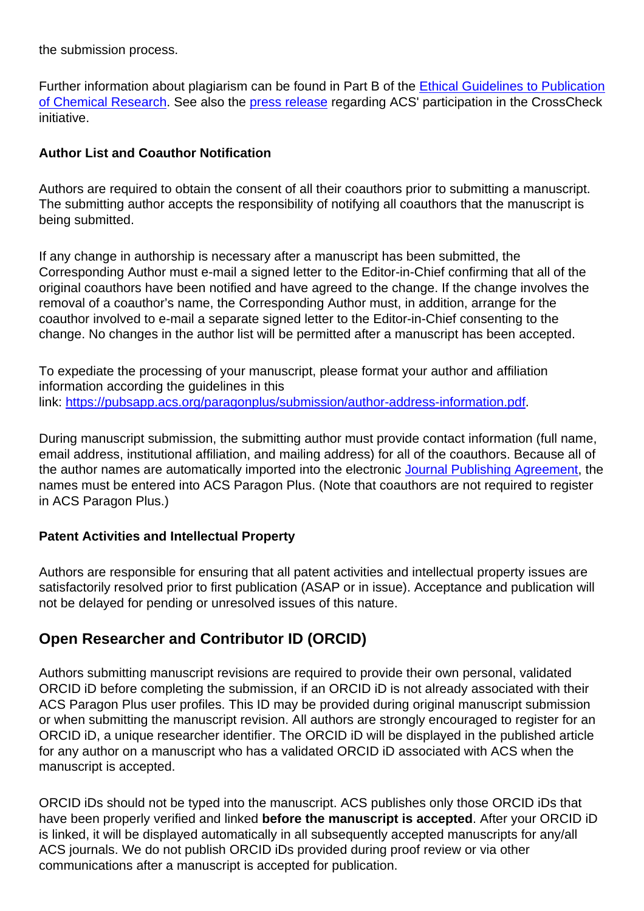the submission process.

Further information about plagiarism can be found in Part B of the [Ethical Guidelines to Publication](https://pubs.acs.org/userimages/ContentEditor/1218054468605/ethics.pdf) [of Chemical Research](https://pubs.acs.org/userimages/ContentEditor/1218054468605/ethics.pdf). See also the [press release](https://www.acs.org/content/acs/en/pressroom/newsreleases/2013/october/acs-implements-crosscheck-plagiarism-screening.html) regarding ACS' participation in the CrossCheck initiative.

#### **Author List and Coauthor Notification**

Authors are required to obtain the consent of all their coauthors prior to submitting a manuscript. The submitting author accepts the responsibility of notifying all coauthors that the manuscript is being submitted.

If any change in authorship is necessary after a manuscript has been submitted, the Corresponding Author must e-mail a signed letter to the Editor-in-Chief confirming that all of the original coauthors have been notified and have agreed to the change. If the change involves the removal of a coauthor's name, the Corresponding Author must, in addition, arrange for the coauthor involved to e-mail a separate signed letter to the Editor-in-Chief consenting to the change. No changes in the author list will be permitted after a manuscript has been accepted.

To expediate the processing of your manuscript, please format your author and affiliation information according the guidelines in this link: [https://pubsapp.acs.org/paragonplus/submission/author-address-information.pdf.](https://pubsapp.acs.org/paragonplus/submission/author-address-information.pdf)

During manuscript submission, the submitting author must provide contact information (full name, email address, institutional affiliation, and mailing address) for all of the coauthors. Because all of the author names are automatically imported into the electronic [Journal Publishing Agreement](https://pubs.acs.org/page/copyright/journals/jpa_index.html), the names must be entered into ACS Paragon Plus. (Note that coauthors are not required to register in ACS Paragon Plus.)

#### **Patent Activities and Intellectual Property**

Authors are responsible for ensuring that all patent activities and intellectual property issues are satisfactorily resolved prior to first publication (ASAP or in issue). Acceptance and publication will not be delayed for pending or unresolved issues of this nature.

## **Open Researcher and Contributor ID (ORCID)**

Authors submitting manuscript revisions are required to provide their own personal, validated ORCID iD before completing the submission, if an ORCID iD is not already associated with their ACS Paragon Plus user profiles. This ID may be provided during original manuscript submission or when submitting the manuscript revision. All authors are strongly encouraged to register for an ORCID iD, a unique researcher identifier. The ORCID iD will be displayed in the published article for any author on a manuscript who has a validated ORCID iD associated with ACS when the manuscript is accepted.

ORCID iDs should not be typed into the manuscript. ACS publishes only those ORCID iDs that have been properly verified and linked **before the manuscript is accepted**. After your ORCID iD is linked, it will be displayed automatically in all subsequently accepted manuscripts for any/all ACS journals. We do not publish ORCID iDs provided during proof review or via other communications after a manuscript is accepted for publication.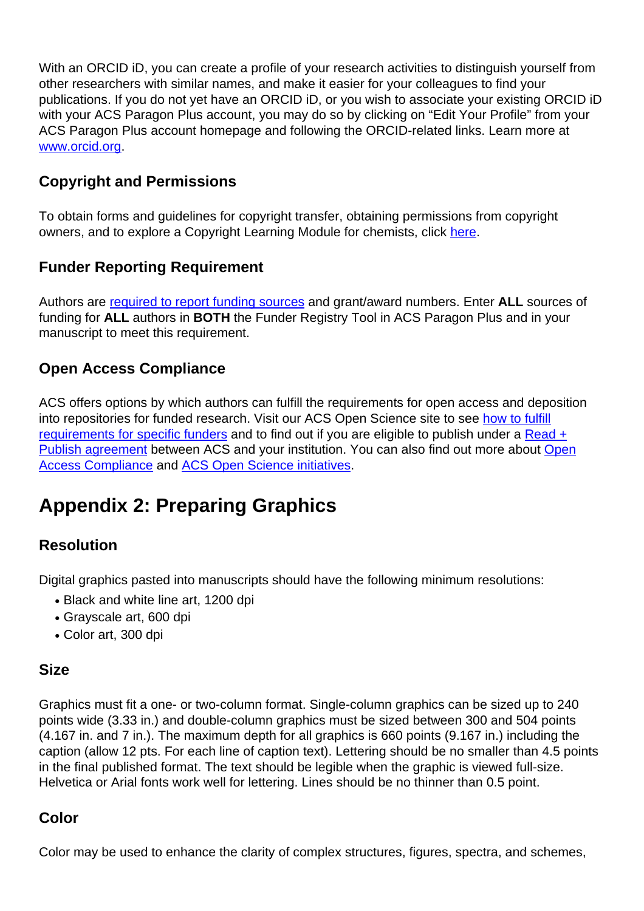With an ORCID iD, you can create a profile of your research activities to distinguish yourself from other researchers with similar names, and make it easier for your colleagues to find your publications. If you do not yet have an ORCID iD, or you wish to associate your existing ORCID iD with your ACS Paragon Plus account, you may do so by clicking on "Edit Your Profile" from your ACS Paragon Plus account homepage and following the ORCID-related links. Learn more at [www.orcid.org](http://www.orcid.org).

## **Copyright and Permissions**

To obtain forms and guidelines for copyright transfer, obtaining permissions from copyright owners, and to explore a Copyright Learning Module for chemists, click [here](https://pubs.acs.org/page/copyright/index.html).

# **Funder Reporting Requirement**

Authors are [required to report funding sources](https://pubs.acs.org/page/4authors/funder_options.html) and grant/award numbers. Enter **ALL** sources of funding for **ALL** authors in **BOTH** the Funder Registry Tool in ACS Paragon Plus and in your manuscript to meet this requirement.

## **Open Access Compliance**

ACS offers options by which authors can fulfill the requirements for open access and deposition into repositories for funded research. Visit our ACS Open Science site to see [how to fulfill](https://acsopenscience.org/open-access/funding/) [requirements for specific funders](https://acsopenscience.org/open-access/funding/) and to find out if you are eligible to publish under a [Read +](https://acsopenscience.org/read-publish-agreements/) [Publish agreement](https://acsopenscience.org/read-publish-agreements/) between ACS and your institution. You can also find out more about [Open](https://pubs.acs.org/page/policy/nih/index.html) [Access Compliance](https://pubs.acs.org/page/policy/nih/index.html) and [ACS Open Science initiatives](https://acsopenscience.org/).

# **Appendix 2: Preparing Graphics**

## **Resolution**

Digital graphics pasted into manuscripts should have the following minimum resolutions:

- Black and white line art, 1200 dpi
- Grayscale art, 600 dpi
- Color art, 300 dpi

#### **Size**

Graphics must fit a one- or two-column format. Single-column graphics can be sized up to 240 points wide (3.33 in.) and double-column graphics must be sized between 300 and 504 points (4.167 in. and 7 in.). The maximum depth for all graphics is 660 points (9.167 in.) including the caption (allow 12 pts. For each line of caption text). Lettering should be no smaller than 4.5 points in the final published format. The text should be legible when the graphic is viewed full-size. Helvetica or Arial fonts work well for lettering. Lines should be no thinner than 0.5 point.

## **Color**

Color may be used to enhance the clarity of complex structures, figures, spectra, and schemes,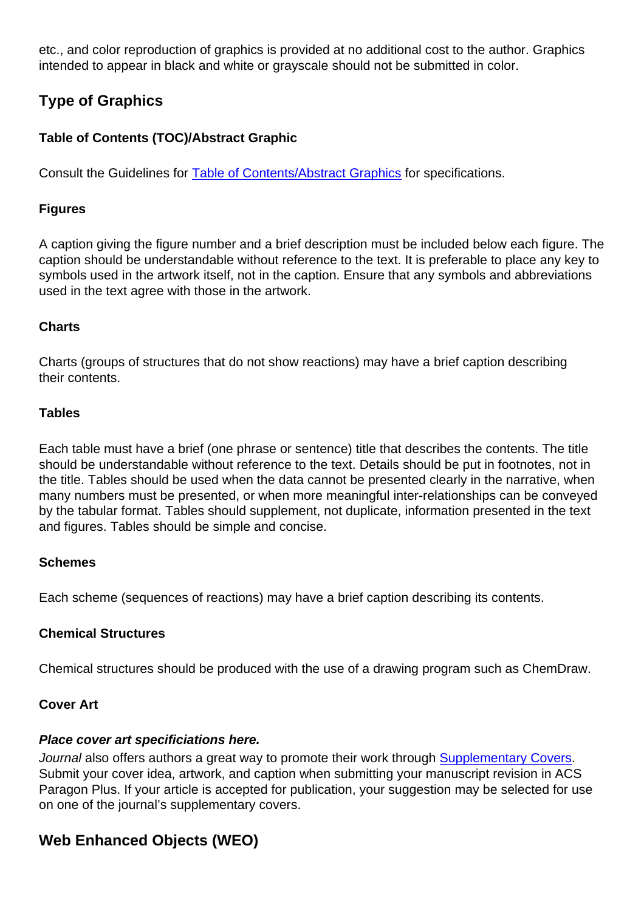etc., and color reproduction of graphics is provided at no additional cost to the author. Graphics intended to appear in black and white or grayscale should not be submitted in color.

## **Type of Graphics**

#### **Table of Contents (TOC)/Abstract Graphic**

Consult the Guidelines for [Table of Contents/Abstract Graphics](https://pubs.acs.org/paragonplus/submission/toc_abstract_graphics_guidelines.pdf) for specifications.

#### **Figures**

A caption giving the figure number and a brief description must be included below each figure. The caption should be understandable without reference to the text. It is preferable to place any key to symbols used in the artwork itself, not in the caption. Ensure that any symbols and abbreviations used in the text agree with those in the artwork.

#### **Charts**

Charts (groups of structures that do not show reactions) may have a brief caption describing their contents.

#### **Tables**

Each table must have a brief (one phrase or sentence) title that describes the contents. The title should be understandable without reference to the text. Details should be put in footnotes, not in the title. Tables should be used when the data cannot be presented clearly in the narrative, when many numbers must be presented, or when more meaningful inter-relationships can be conveyed by the tabular format. Tables should supplement, not duplicate, information presented in the text and figures. Tables should be simple and concise.

#### **Schemes**

Each scheme (sequences of reactions) may have a brief caption describing its contents.

#### **Chemical Structures**

Chemical structures should be produced with the use of a drawing program such as ChemDraw.

#### **Cover Art**

#### **Place cover art specificiations here.**

Journal also offers authors a great way to promote their work through **[Supplementary Covers](https://pubs.acs.org/page/4authors/promotion/journal-cover-image.html)**. Submit your cover idea, artwork, and caption when submitting your manuscript revision in ACS Paragon Plus. If your article is accepted for publication, your suggestion may be selected for use on one of the journal's supplementary covers.

## **Web Enhanced Objects (WEO)**